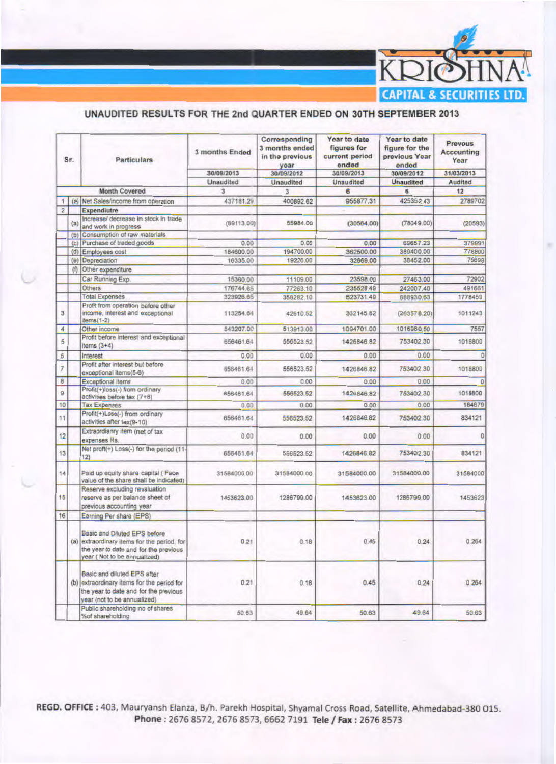

## UNAUDITED RESULTS FOR THE 2nd QUARTER ENDED ON 30TH SEPTEMBER 2013

| Sr.            |     | <b>Particulars</b>                                                                                                                                  | 3 months Ended<br>30/09/2013 | Corresponding<br>3 months ended<br>in the previous<br>year<br>30/09/2012 | Year to date<br>figures for<br>current period<br>ended<br>30/09/2013 | Year to date<br>figure for the<br>previous Year<br>ended<br>30/09/2012 | Prevous<br><b>Accounting</b><br>Year<br>31/03/2013 |  |
|----------------|-----|-----------------------------------------------------------------------------------------------------------------------------------------------------|------------------------------|--------------------------------------------------------------------------|----------------------------------------------------------------------|------------------------------------------------------------------------|----------------------------------------------------|--|
|                |     |                                                                                                                                                     | Unaudited                    | <b>Unaudited</b>                                                         | <b>Unaudited</b>                                                     | <b>Unaudited</b>                                                       | Audited                                            |  |
|                |     | <b>Month Covered</b>                                                                                                                                | 3                            | 3                                                                        | 6                                                                    | 6                                                                      | 12                                                 |  |
|                |     |                                                                                                                                                     |                              |                                                                          |                                                                      |                                                                        |                                                    |  |
| 1              |     | (a) Net Sales/income from operation                                                                                                                 | 437181.29                    | 400892.62                                                                | 955877.31                                                            | 425352.43                                                              | 2789702                                            |  |
| $\overline{2}$ | (a) | <b>Expendiutre</b><br>Increase/ decrease in stock in trade<br>and work in progress                                                                  | (69113.00)                   | 55984.00                                                                 | (30564.00)                                                           | (78049.00)                                                             | (20593)                                            |  |
|                |     | (b) Consumption of raw materials                                                                                                                    |                              |                                                                          |                                                                      |                                                                        |                                                    |  |
|                | (c) | Purchase of traded goods                                                                                                                            | 0.00                         | 0.00                                                                     | 0.00                                                                 | 69657.23                                                               | 379991                                             |  |
|                | (d) | Employees cost                                                                                                                                      | 184600.00                    | 194700.00                                                                | 362500.00                                                            | 389400.00                                                              | 778800                                             |  |
|                | (e) | Depreciation                                                                                                                                        | 16335.00                     | 19226.00                                                                 | 32669.00                                                             | 38452.00                                                               | 75698                                              |  |
|                | (f) | Other expenditure                                                                                                                                   |                              |                                                                          |                                                                      |                                                                        |                                                    |  |
|                |     | Car Running Exp.                                                                                                                                    | 15360.00                     | 11109.00                                                                 | 23598.00                                                             | 27463.00                                                               | 72902                                              |  |
|                |     | Others                                                                                                                                              | 176744.65                    | 77263.10                                                                 | 235528.49                                                            | 242007.40                                                              | 491661                                             |  |
|                |     | <b>Total Expenses</b>                                                                                                                               | 323926.65                    | 358282.10                                                                | 623731.49                                                            | 688930.63                                                              | 1778459                                            |  |
| 3              |     | Profit from operation before other<br>income, interest and exceptional<br>$items(1-2)$                                                              | 113254.64                    | 42610.52                                                                 | 332145.82                                                            | (263578.20)                                                            | 1011243                                            |  |
| 4              |     | Other income                                                                                                                                        | 543207.00                    | 513913.00                                                                | 1094701.00                                                           | 1016980.50                                                             | 7557                                               |  |
| $\overline{5}$ |     | Profit before interest and exceptional<br>Items $(3+4)$                                                                                             | 656461.64                    | 556523.52                                                                | 1426846.82                                                           | 753402.30                                                              | 1018800                                            |  |
| 6              |     | Interest                                                                                                                                            | 0.00                         | 0.00                                                                     | 0.00                                                                 | 0.00                                                                   | $\Omega$                                           |  |
| $\overline{7}$ |     | Profit after interest but before<br>exceptional items(5-6)                                                                                          | 656461.64                    | 556523.52                                                                | 1426846.82                                                           | 753402.30                                                              | 1018800                                            |  |
| 8              |     | <b>Exceptional items</b>                                                                                                                            | 0.00                         | 0.00                                                                     | 0.00                                                                 | 0.00                                                                   |                                                    |  |
| 9              |     | Profit(+)loss(-) from ordinary.<br>activities before tax (7+8)                                                                                      | 656461.64                    | 556523.52                                                                | 1426846.82                                                           | 75340/2.30                                                             | 1018800                                            |  |
| 10             |     | <b>Tax Expenses</b>                                                                                                                                 | 0.00                         | 0.00                                                                     | 0.00                                                                 | 0.00                                                                   | 184679                                             |  |
| 11             |     | Profit(+)Loss(-) from ordinary<br>activities after tax(9-10)                                                                                        | 656461.64                    | 556523.52                                                                | 1426846.82                                                           | 753402.30                                                              | 834121                                             |  |
| 12             |     | Extraordianry item (net of tax<br>expenses Rs.                                                                                                      | 0.00                         | 0.00                                                                     | 0.00                                                                 | 0.00                                                                   | Ō                                                  |  |
| 13             |     | Net proft(+) Loss(-) for the period (11-<br>12)                                                                                                     | 656461.64                    | 556523.52                                                                | 1426846.82                                                           | 753402.30                                                              | 834121                                             |  |
| 14             |     | Paid up equity share capital (Face<br>value of the share shall be indicated)                                                                        | 31584000.00                  | 31584000.00                                                              | 31584000.00                                                          | 31584000.00                                                            | 31584000                                           |  |
| 15             |     | Reserve excluding revaluation<br>reserve as per balance sheet of<br>previous accounting year                                                        | 1453623.00                   | 1286799.00                                                               | 1453623.00                                                           | 1286799.00                                                             | 1453623                                            |  |
| 16             |     | Earning Per share (EPS)                                                                                                                             |                              |                                                                          |                                                                      |                                                                        |                                                    |  |
|                |     | Basic and Diluted EPS before<br>(a) extraordinary items for the period, for<br>the year to date and for the previous<br>year (Not to be annualized) | 0.21                         | 0.18                                                                     | 0.45                                                                 | 0.24                                                                   | 0.264                                              |  |
|                |     | Basic and diluted EPS after<br>(b) extraordinary items for the period for<br>the year to date and for the previous<br>year (not to be annualized)   | 0.21                         | 0.18                                                                     | 0.45                                                                 | 0.24                                                                   | 0.264                                              |  |
|                |     | Public shareholding no of shares<br>%of shareholding                                                                                                | 50.63                        | 49.64                                                                    | 50.63                                                                | 49.64                                                                  | 50.63                                              |  |

REGD. OFFICE: 403, Mauryansh Elanza, B/h. Parekh Hospital, Shyamal Cross Road, Satellite, Ahmedabad-380 015. Phone: 2676 8572, 2676 8573, 6662 7191 Tele / Fax: 2676 8573